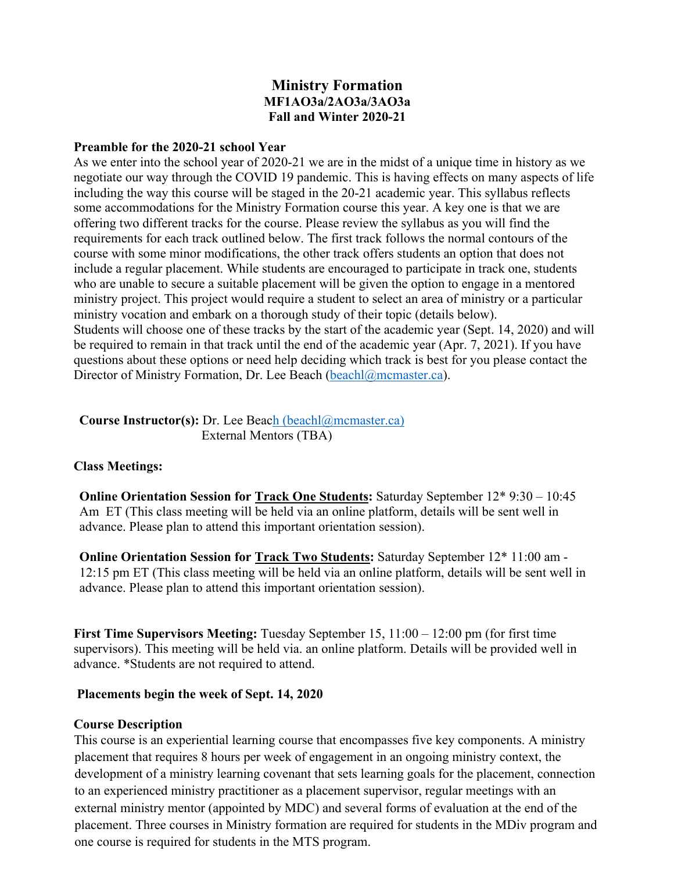# **Ministry Formation MF1AO3a/2AO3a/3AO3a Fall and Winter 2020-21**

#### **Preamble for the 2020-21 school Year**

As we enter into the school year of 2020-21 we are in the midst of a unique time in history as we negotiate our way through the COVID 19 pandemic. This is having effects on many aspects of life including the way this course will be staged in the 20-21 academic year. This syllabus reflects some accommodations for the Ministry Formation course this year. A key one is that we are offering two different tracks for the course. Please review the syllabus as you will find the requirements for each track outlined below. The first track follows the normal contours of the course with some minor modifications, the other track offers students an option that does not include a regular placement. While students are encouraged to participate in track one, students who are unable to secure a suitable placement will be given the option to engage in a mentored ministry project. This project would require a student to select an area of ministry or a particular ministry vocation and embark on a thorough study of their topic (details below). Students will choose one of these tracks by the start of the academic year (Sept. 14, 2020) and will be required to remain in that track until the end of the academic year (Apr. 7, 2021). If you have questions about these options or need help deciding which track is best for you please contact the Director of Ministry Formation, Dr. Lee Beach (beachl@mcmaster.ca).

### **Course Instructor(s):** Dr. Lee Beach (beachl@mcmaster.ca) External Mentors (TBA)

#### **Class Meetings:**

**Online Orientation Session for Track One Students:** Saturday September 12\* 9:30 – 10:45 Am ET (This class meeting will be held via an online platform, details will be sent well in advance. Please plan to attend this important orientation session).

**Online Orientation Session for Track Two Students:** Saturday September 12\* 11:00 am - 12:15 pm ET (This class meeting will be held via an online platform, details will be sent well in advance. Please plan to attend this important orientation session).

**First Time Supervisors Meeting:** Tuesday September 15, 11:00 – 12:00 pm (for first time supervisors). This meeting will be held via. an online platform. Details will be provided well in advance. \*Students are not required to attend.

#### **Placements begin the week of Sept. 14, 2020**

#### **Course Description**

This course is an experiential learning course that encompasses five key components. A ministry placement that requires 8 hours per week of engagement in an ongoing ministry context, the development of a ministry learning covenant that sets learning goals for the placement, connection to an experienced ministry practitioner as a placement supervisor, regular meetings with an external ministry mentor (appointed by MDC) and several forms of evaluation at the end of the placement. Three courses in Ministry formation are required for students in the MDiv program and one course is required for students in the MTS program.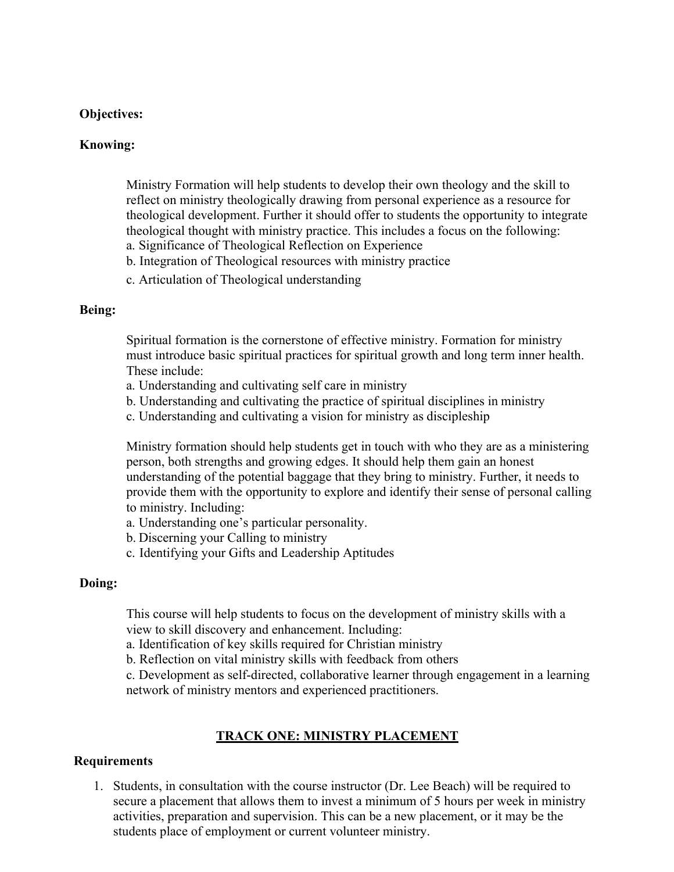### **Objectives:**

#### **Knowing:**

Ministry Formation will help students to develop their own theology and the skill to reflect on ministry theologically drawing from personal experience as a resource for theological development. Further it should offer to students the opportunity to integrate theological thought with ministry practice. This includes a focus on the following:

- a. Significance of Theological Reflection on Experience
- b. Integration of Theological resources with ministry practice
- c. Articulation of Theological understanding

#### **Being:**

Spiritual formation is the cornerstone of effective ministry. Formation for ministry must introduce basic spiritual practices for spiritual growth and long term inner health. These include:

- a. Understanding and cultivating self care in ministry
- b. Understanding and cultivating the practice of spiritual disciplines in ministry
- c. Understanding and cultivating a vision for ministry as discipleship

Ministry formation should help students get in touch with who they are as a ministering person, both strengths and growing edges. It should help them gain an honest understanding of the potential baggage that they bring to ministry. Further, it needs to provide them with the opportunity to explore and identify their sense of personal calling to ministry. Including:

- a. Understanding one's particular personality.
- b. Discerning your Calling to ministry
- c. Identifying your Gifts and Leadership Aptitudes

#### **Doing:**

This course will help students to focus on the development of ministry skills with a view to skill discovery and enhancement. Including:

a. Identification of key skills required for Christian ministry

b. Reflection on vital ministry skills with feedback from others

c. Development as self-directed, collaborative learner through engagement in a learning network of ministry mentors and experienced practitioners.

### **TRACK ONE: MINISTRY PLACEMENT**

#### **Requirements**

1. Students, in consultation with the course instructor (Dr. Lee Beach) will be required to secure a placement that allows them to invest a minimum of 5 hours per week in ministry activities, preparation and supervision. This can be a new placement, or it may be the students place of employment or current volunteer ministry.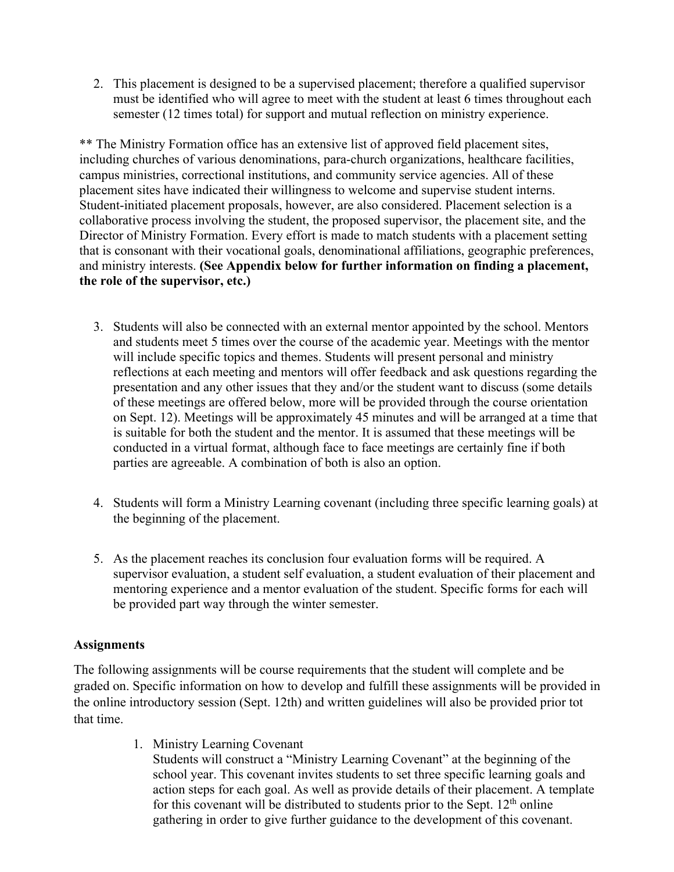2. This placement is designed to be a supervised placement; therefore a qualified supervisor must be identified who will agree to meet with the student at least 6 times throughout each semester (12 times total) for support and mutual reflection on ministry experience.

\*\* The Ministry Formation office has an extensive list of approved field placement sites, including churches of various denominations, para-church organizations, healthcare facilities, campus ministries, correctional institutions, and community service agencies. All of these placement sites have indicated their willingness to welcome and supervise student interns. Student-initiated placement proposals, however, are also considered. Placement selection is a collaborative process involving the student, the proposed supervisor, the placement site, and the Director of Ministry Formation. Every effort is made to match students with a placement setting that is consonant with their vocational goals, denominational affiliations, geographic preferences, and ministry interests. **(See Appendix below for further information on finding a placement, the role of the supervisor, etc.)**

- 3. Students will also be connected with an external mentor appointed by the school. Mentors and students meet 5 times over the course of the academic year. Meetings with the mentor will include specific topics and themes. Students will present personal and ministry reflections at each meeting and mentors will offer feedback and ask questions regarding the presentation and any other issues that they and/or the student want to discuss (some details of these meetings are offered below, more will be provided through the course orientation on Sept. 12). Meetings will be approximately 45 minutes and will be arranged at a time that is suitable for both the student and the mentor. It is assumed that these meetings will be conducted in a virtual format, although face to face meetings are certainly fine if both parties are agreeable. A combination of both is also an option.
- 4. Students will form a Ministry Learning covenant (including three specific learning goals) at the beginning of the placement.
- 5. As the placement reaches its conclusion four evaluation forms will be required. A supervisor evaluation, a student self evaluation, a student evaluation of their placement and mentoring experience and a mentor evaluation of the student. Specific forms for each will be provided part way through the winter semester.

### **Assignments**

The following assignments will be course requirements that the student will complete and be graded on. Specific information on how to develop and fulfill these assignments will be provided in the online introductory session (Sept. 12th) and written guidelines will also be provided prior tot that time.

1. Ministry Learning Covenant

Students will construct a "Ministry Learning Covenant" at the beginning of the school year. This covenant invites students to set three specific learning goals and action steps for each goal. As well as provide details of their placement. A template for this covenant will be distributed to students prior to the Sept.  $12<sup>th</sup>$  online gathering in order to give further guidance to the development of this covenant.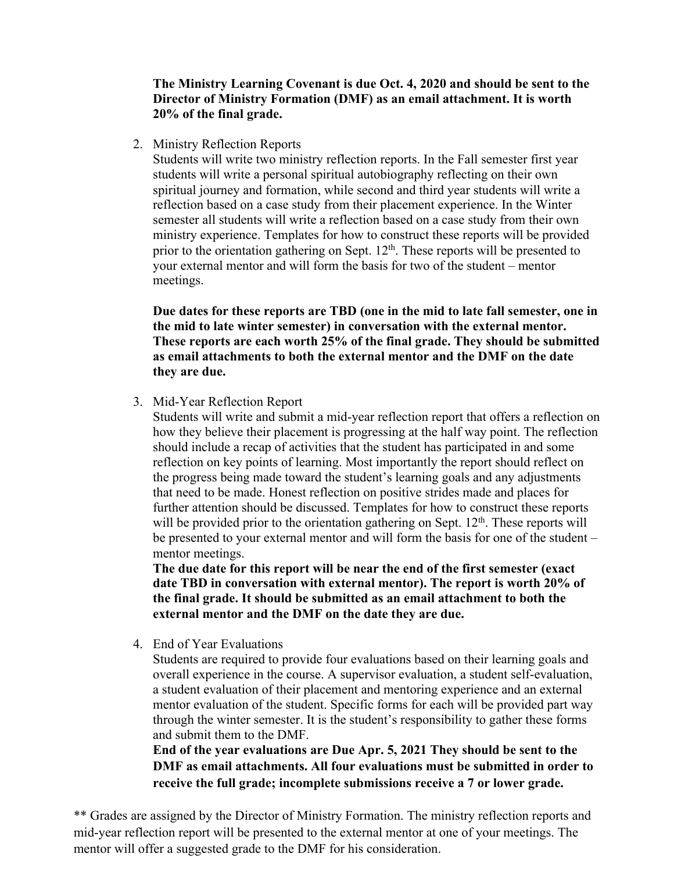**The Ministry Learning Covenant is due Oct. 4, 2020 and should be sent to the Director of Ministry Formation (DMF) as an email attachment. It is worth 20% of the final grade.**

2. Ministry Reflection Reports

Students will write two ministry reflection reports. In the Fall semester first year students will write a personal spiritual autobiography reflecting on their own spiritual journey and formation, while second and third year students will write a reflection based on a case study from their placement experience. In the Winter semester all students will write a reflection based on a case study from their own ministry experience. Templates for how to construct these reports will be provided prior to the orientation gathering on Sept.  $12<sup>th</sup>$ . These reports will be presented to your external mentor and will form the basis for two of the student – mentor meetings.

**Due dates for these reports are TBD (one in the mid to late fall semester, one in the mid to late winter semester) in conversation with the external mentor. These reports are each worth 25% of the final grade. They should be submitted as email attachments to both the external mentor and the DMF on the date they are due.**

3. Mid-Year Reflection Report

Students will write and submit a mid-year reflection report that offers a reflection on how they believe their placement is progressing at the half way point. The reflection should include a recap of activities that the student has participated in and some reflection on key points of learning. Most importantly the report should reflect on the progress being made toward the student's learning goals and any adjustments that need to be made. Honest reflection on positive strides made and places for further attention should be discussed. Templates for how to construct these reports will be provided prior to the orientation gathering on Sept.  $12<sup>th</sup>$ . These reports will be presented to your external mentor and will form the basis for one of the student – mentor meetings.

**The due date for this report will be near the end of the first semester (exact date TBD in conversation with external mentor). The report is worth 20% of the final grade. It should be submitted as an email attachment to both the external mentor and the DMF on the date they are due.**

4. End of Year Evaluations

Students are required to provide four evaluations based on their learning goals and overall experience in the course. A supervisor evaluation, a student self-evaluation, a student evaluation of their placement and mentoring experience and an external mentor evaluation of the student. Specific forms for each will be provided part way through the winter semester. It is the student's responsibility to gather these forms and submit them to the DMF.

**End of the year evaluations are Due Apr. 5, 2021 They should be sent to the DMF as email attachments. All four evaluations must be submitted in order to receive the full grade; incomplete submissions receive a 7 or lower grade.** 

\*\* Grades are assigned by the Director of Ministry Formation. The ministry reflection reports and mid-year reflection report will be presented to the external mentor at one of your meetings. The mentor will offer a suggested grade to the DMF for his consideration.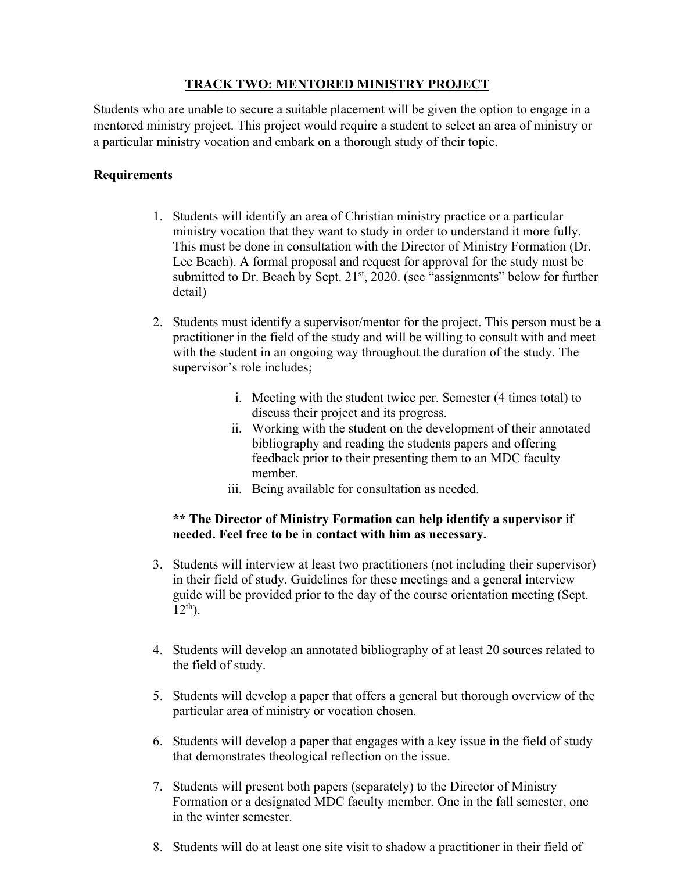## **TRACK TWO: MENTORED MINISTRY PROJECT**

Students who are unable to secure a suitable placement will be given the option to engage in a mentored ministry project. This project would require a student to select an area of ministry or a particular ministry vocation and embark on a thorough study of their topic.

### **Requirements**

- 1. Students will identify an area of Christian ministry practice or a particular ministry vocation that they want to study in order to understand it more fully. This must be done in consultation with the Director of Ministry Formation (Dr. Lee Beach). A formal proposal and request for approval for the study must be submitted to Dr. Beach by Sept.  $21<sup>st</sup>$ ,  $2020$ . (see "assignments" below for further detail)
- 2. Students must identify a supervisor/mentor for the project. This person must be a practitioner in the field of the study and will be willing to consult with and meet with the student in an ongoing way throughout the duration of the study. The supervisor's role includes;
	- i. Meeting with the student twice per. Semester (4 times total) to discuss their project and its progress.
	- ii. Working with the student on the development of their annotated bibliography and reading the students papers and offering feedback prior to their presenting them to an MDC faculty member.
	- iii. Being available for consultation as needed.

### **\*\* The Director of Ministry Formation can help identify a supervisor if needed. Feel free to be in contact with him as necessary.**

- 3. Students will interview at least two practitioners (not including their supervisor) in their field of study. Guidelines for these meetings and a general interview guide will be provided prior to the day of the course orientation meeting (Sept.  $12^{th}$ ).
- 4. Students will develop an annotated bibliography of at least 20 sources related to the field of study.
- 5. Students will develop a paper that offers a general but thorough overview of the particular area of ministry or vocation chosen.
- 6. Students will develop a paper that engages with a key issue in the field of study that demonstrates theological reflection on the issue.
- 7. Students will present both papers (separately) to the Director of Ministry Formation or a designated MDC faculty member. One in the fall semester, one in the winter semester.
- 8. Students will do at least one site visit to shadow a practitioner in their field of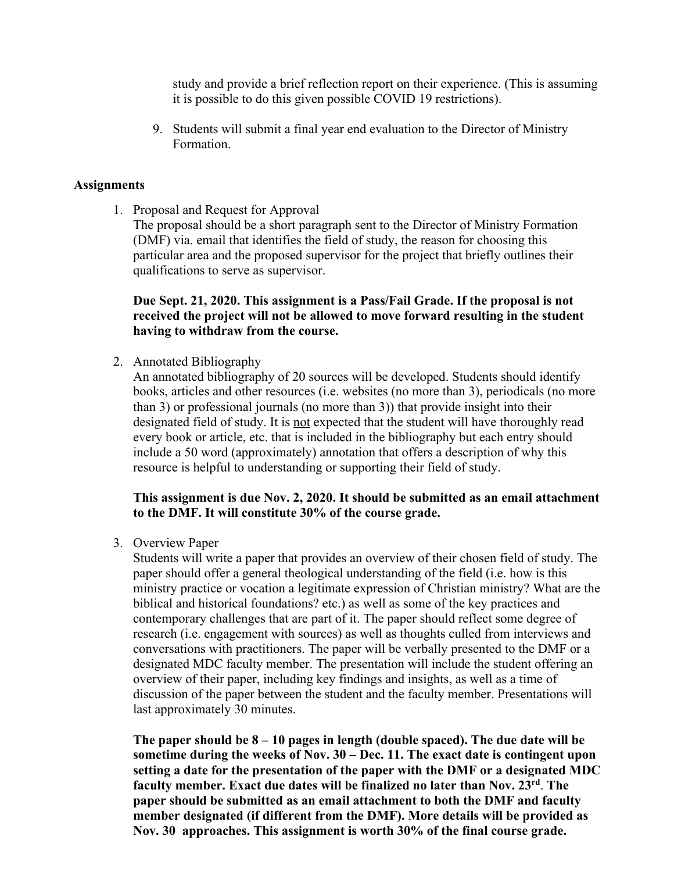study and provide a brief reflection report on their experience. (This is assuming it is possible to do this given possible COVID 19 restrictions).

9. Students will submit a final year end evaluation to the Director of Ministry Formation.

#### **Assignments**

1. Proposal and Request for Approval

The proposal should be a short paragraph sent to the Director of Ministry Formation (DMF) via. email that identifies the field of study, the reason for choosing this particular area and the proposed supervisor for the project that briefly outlines their qualifications to serve as supervisor.

### **Due Sept. 21, 2020. This assignment is a Pass/Fail Grade. If the proposal is not received the project will not be allowed to move forward resulting in the student having to withdraw from the course.**

2. Annotated Bibliography

An annotated bibliography of 20 sources will be developed. Students should identify books, articles and other resources (i.e. websites (no more than 3), periodicals (no more than 3) or professional journals (no more than 3)) that provide insight into their designated field of study. It is not expected that the student will have thoroughly read every book or article, etc. that is included in the bibliography but each entry should include a 50 word (approximately) annotation that offers a description of why this resource is helpful to understanding or supporting their field of study.

### **This assignment is due Nov. 2, 2020. It should be submitted as an email attachment to the DMF. It will constitute 30% of the course grade.**

3. Overview Paper

Students will write a paper that provides an overview of their chosen field of study. The paper should offer a general theological understanding of the field (i.e. how is this ministry practice or vocation a legitimate expression of Christian ministry? What are the biblical and historical foundations? etc.) as well as some of the key practices and contemporary challenges that are part of it. The paper should reflect some degree of research (i.e. engagement with sources) as well as thoughts culled from interviews and conversations with practitioners. The paper will be verbally presented to the DMF or a designated MDC faculty member. The presentation will include the student offering an overview of their paper, including key findings and insights, as well as a time of discussion of the paper between the student and the faculty member. Presentations will last approximately 30 minutes.

**The paper should be 8 – 10 pages in length (double spaced). The due date will be sometime during the weeks of Nov. 30 – Dec. 11. The exact date is contingent upon setting a date for the presentation of the paper with the DMF or a designated MDC faculty member. Exact due dates will be finalized no later than Nov. 23rd**. **The paper should be submitted as an email attachment to both the DMF and faculty member designated (if different from the DMF). More details will be provided as Nov. 30 approaches. This assignment is worth 30% of the final course grade.**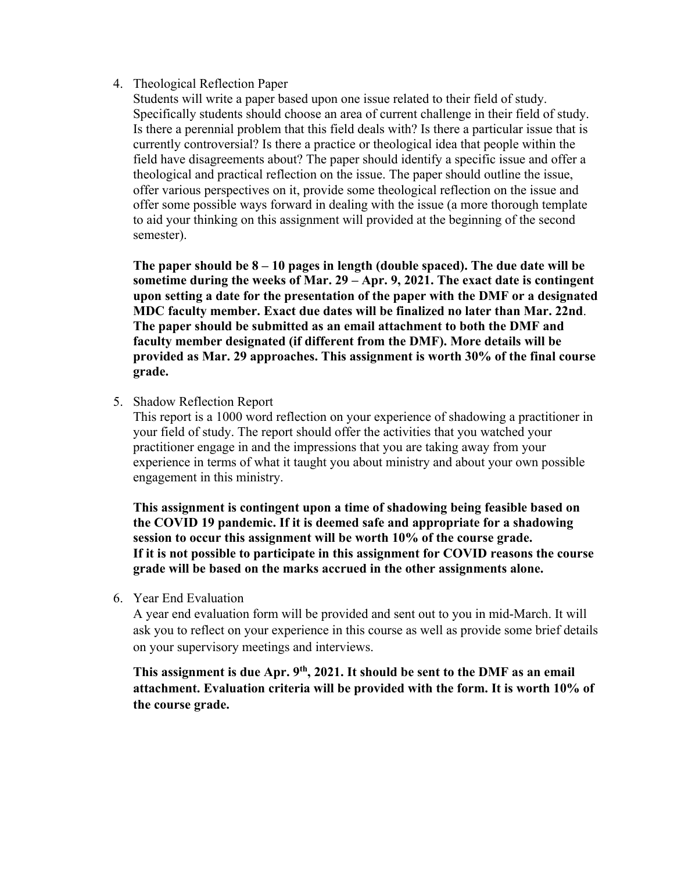### 4. Theological Reflection Paper

Students will write a paper based upon one issue related to their field of study. Specifically students should choose an area of current challenge in their field of study. Is there a perennial problem that this field deals with? Is there a particular issue that is currently controversial? Is there a practice or theological idea that people within the field have disagreements about? The paper should identify a specific issue and offer a theological and practical reflection on the issue. The paper should outline the issue, offer various perspectives on it, provide some theological reflection on the issue and offer some possible ways forward in dealing with the issue (a more thorough template to aid your thinking on this assignment will provided at the beginning of the second semester).

**The paper should be 8 – 10 pages in length (double spaced). The due date will be sometime during the weeks of Mar. 29 – Apr. 9, 2021. The exact date is contingent upon setting a date for the presentation of the paper with the DMF or a designated MDC faculty member. Exact due dates will be finalized no later than Mar. 22nd**. **The paper should be submitted as an email attachment to both the DMF and faculty member designated (if different from the DMF). More details will be provided as Mar. 29 approaches. This assignment is worth 30% of the final course grade.**

5. Shadow Reflection Report

This report is a 1000 word reflection on your experience of shadowing a practitioner in your field of study. The report should offer the activities that you watched your practitioner engage in and the impressions that you are taking away from your experience in terms of what it taught you about ministry and about your own possible engagement in this ministry.

**This assignment is contingent upon a time of shadowing being feasible based on the COVID 19 pandemic. If it is deemed safe and appropriate for a shadowing session to occur this assignment will be worth 10% of the course grade. If it is not possible to participate in this assignment for COVID reasons the course grade will be based on the marks accrued in the other assignments alone.**

6. Year End Evaluation

A year end evaluation form will be provided and sent out to you in mid-March. It will ask you to reflect on your experience in this course as well as provide some brief details on your supervisory meetings and interviews.

This assignment is due Apr. 9<sup>th</sup>, 2021. It should be sent to the DMF as an email **attachment. Evaluation criteria will be provided with the form. It is worth 10% of the course grade.**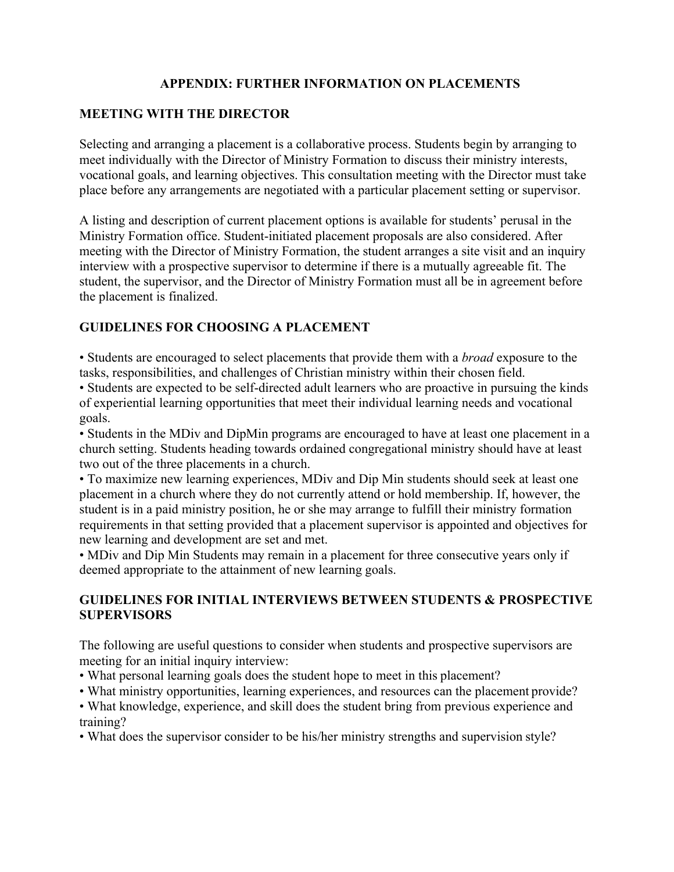## **APPENDIX: FURTHER INFORMATION ON PLACEMENTS**

### **MEETING WITH THE DIRECTOR**

Selecting and arranging a placement is a collaborative process. Students begin by arranging to meet individually with the Director of Ministry Formation to discuss their ministry interests, vocational goals, and learning objectives. This consultation meeting with the Director must take place before any arrangements are negotiated with a particular placement setting or supervisor.

A listing and description of current placement options is available for students' perusal in the Ministry Formation office. Student-initiated placement proposals are also considered. After meeting with the Director of Ministry Formation, the student arranges a site visit and an inquiry interview with a prospective supervisor to determine if there is a mutually agreeable fit. The student, the supervisor, and the Director of Ministry Formation must all be in agreement before the placement is finalized.

# **GUIDELINES FOR CHOOSING A PLACEMENT**

• Students are encouraged to select placements that provide them with a *broad* exposure to the tasks, responsibilities, and challenges of Christian ministry within their chosen field.

• Students are expected to be self-directed adult learners who are proactive in pursuing the kinds of experiential learning opportunities that meet their individual learning needs and vocational goals.

• Students in the MDiv and DipMin programs are encouraged to have at least one placement in a church setting. Students heading towards ordained congregational ministry should have at least two out of the three placements in a church.

• To maximize new learning experiences, MDiv and Dip Min students should seek at least one placement in a church where they do not currently attend or hold membership. If, however, the student is in a paid ministry position, he or she may arrange to fulfill their ministry formation requirements in that setting provided that a placement supervisor is appointed and objectives for new learning and development are set and met.

• MDiv and Dip Min Students may remain in a placement for three consecutive years only if deemed appropriate to the attainment of new learning goals.

### **GUIDELINES FOR INITIAL INTERVIEWS BETWEEN STUDENTS & PROSPECTIVE SUPERVISORS**

The following are useful questions to consider when students and prospective supervisors are meeting for an initial inquiry interview:

- What personal learning goals does the student hope to meet in this placement?
- What ministry opportunities, learning experiences, and resources can the placement provide?
- What knowledge, experience, and skill does the student bring from previous experience and training?
- What does the supervisor consider to be his/her ministry strengths and supervision style?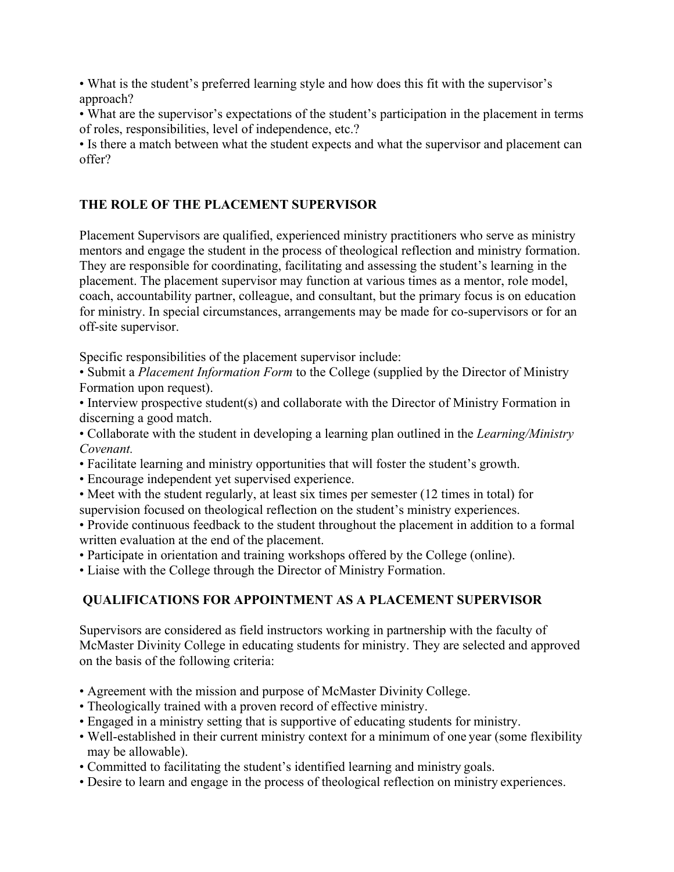• What is the student's preferred learning style and how does this fit with the supervisor's approach?

• What are the supervisor's expectations of the student's participation in the placement in terms of roles, responsibilities, level of independence, etc.?

• Is there a match between what the student expects and what the supervisor and placement can offer?

## **THE ROLE OF THE PLACEMENT SUPERVISOR**

Placement Supervisors are qualified, experienced ministry practitioners who serve as ministry mentors and engage the student in the process of theological reflection and ministry formation. They are responsible for coordinating, facilitating and assessing the student's learning in the placement. The placement supervisor may function at various times as a mentor, role model, coach, accountability partner, colleague, and consultant, but the primary focus is on education for ministry. In special circumstances, arrangements may be made for co-supervisors or for an off-site supervisor.

Specific responsibilities of the placement supervisor include:

• Submit a *Placement Information Form* to the College (supplied by the Director of Ministry Formation upon request).

• Interview prospective student(s) and collaborate with the Director of Ministry Formation in discerning a good match.

• Collaborate with the student in developing a learning plan outlined in the *Learning/Ministry Covenant.*

• Facilitate learning and ministry opportunities that will foster the student's growth.

• Encourage independent yet supervised experience.

- Meet with the student regularly, at least six times per semester (12 times in total) for supervision focused on theological reflection on the student's ministry experiences.
- Provide continuous feedback to the student throughout the placement in addition to a formal written evaluation at the end of the placement.
- Participate in orientation and training workshops offered by the College (online).
- Liaise with the College through the Director of Ministry Formation.

# **QUALIFICATIONS FOR APPOINTMENT AS A PLACEMENT SUPERVISOR**

Supervisors are considered as field instructors working in partnership with the faculty of McMaster Divinity College in educating students for ministry. They are selected and approved on the basis of the following criteria:

- Agreement with the mission and purpose of McMaster Divinity College.
- Theologically trained with a proven record of effective ministry.
- Engaged in a ministry setting that is supportive of educating students for ministry.
- Well-established in their current ministry context for a minimum of one year (some flexibility may be allowable).
- Committed to facilitating the student's identified learning and ministry goals.
- Desire to learn and engage in the process of theological reflection on ministry experiences.